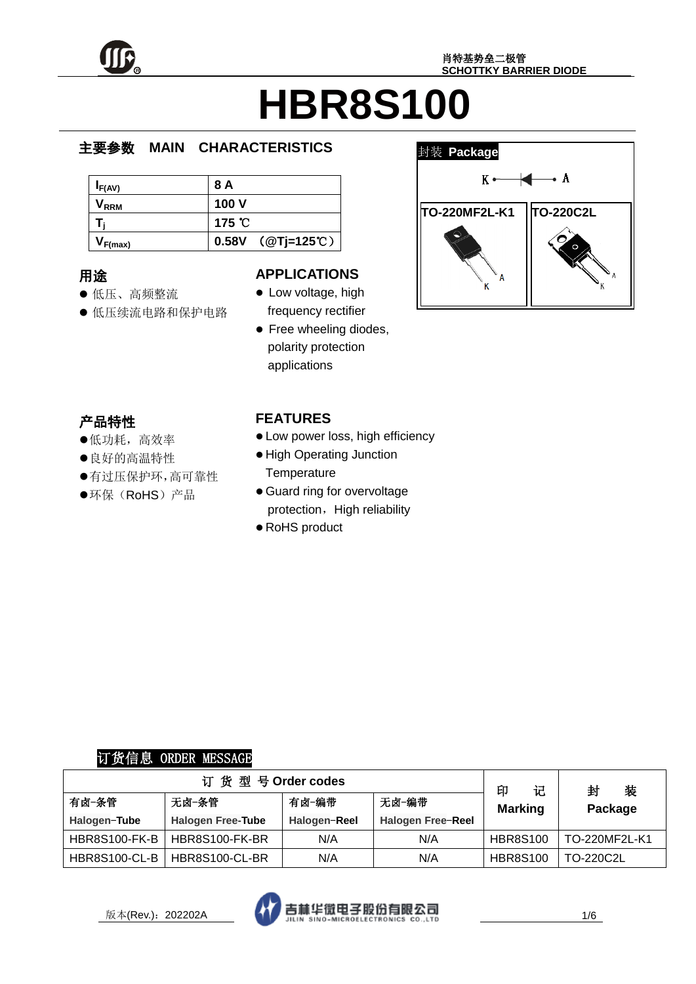

#### e  $\overline{\phantom{a}}$ **MAIN CHARACTERISTICS**

| I <sub>F(AV)</sub>          | 8 A                       |
|-----------------------------|---------------------------|
| $\mathsf{V}_{\mathsf{RRM}}$ | 100 V                     |
|                             | 175 °C                    |
| $V_{F(max)}$                | 0.58V $(QT)=125^{\circ}C$ |

# 用途

- ……<br>● 低压、高频整流
- יא;<br>ד ● 低压续流电路和保护电路

### **APPLICATIONS**

- Low voltage, high frequency rectifier
- Free wheeling diodes, polarity protection applications



# 产品特性

- , ----。-<u>-</u><br>●低功耗,高效率
- ●良好的高温特性
- 有过压保护环,高可靠性
- $\hat{\cdot}$ i, ●环保(RoHS)产品

## **FEATURES**

- Low power loss, high efficiency
- High Operating Junction **Temperature**
- Guard ring for overvoltage protection, High reliability
- RoHS product

# 订货信息 ORDER MESSAGE

| 订货型号Order codes      |                          |              |                   |                          | 装<br>封        |
|----------------------|--------------------------|--------------|-------------------|--------------------------|---------------|
| 有卤-条管                | 无卤-条管                    | 有卤-编带        | 无卤-编带             | 印<br>记<br><b>Marking</b> | Package       |
| Halogen-Tube         | <b>Halogen Free-Tube</b> | Halogen-Reel | Halogen Free-Reel |                          |               |
| <b>HBR8S100-FK-B</b> | HBR8S100-FK-BR           | N/A          | N/A               | <b>HBR8S100</b>          | TO-220MF2L-K1 |
| <b>HBR8S100-CL-B</b> | HBR8S100-CL-BR           | N/A          | N/A               | <b>HBR8S100</b>          | TO-220C2L     |

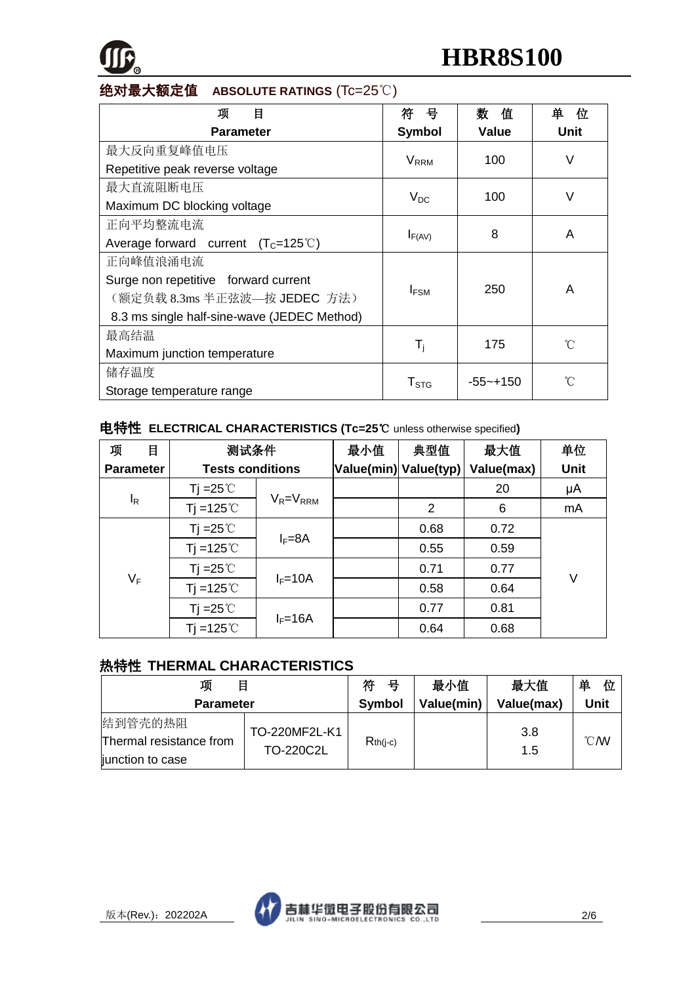

### 绝对最大额定值 **ABSOLUTE RATINGS** (Tc=25℃)

| 项<br>目                                       | 뮥                       | 数<br>僨       | 单<br>位 |  |
|----------------------------------------------|-------------------------|--------------|--------|--|
| <b>Parameter</b>                             | <b>Symbol</b>           | Value        | Unit   |  |
| 最大反向重复峰值电压                                   | <b>V</b> <sub>RRM</sub> | 100          | V      |  |
| Repetitive peak reverse voltage              |                         |              |        |  |
| 最大直流阻断电压                                     |                         |              | V      |  |
| Maximum DC blocking voltage                  | $V_{DC}$                | 100          |        |  |
| 正向平均整流电流                                     |                         | 8            | A      |  |
| Average forward current $(T_c=125^{\circ}C)$ | $I_{F(AV)}$             |              |        |  |
| 正向峰值浪涌电流                                     |                         |              |        |  |
| Surge non repetitive forward current         | $I_{FSM}$               | 250          | A      |  |
| (额定负载 8.3ms 半正弦波—按 JEDEC 方法)                 |                         |              |        |  |
| 8.3 ms single half-sine-wave (JEDEC Method)  |                         |              |        |  |
| 最高结温                                         |                         | 175          | ิ∩°    |  |
| Maximum junction temperature                 | $\mathsf{T}_\mathsf{i}$ |              |        |  |
| 储存温度                                         |                         | $-55 - +150$ | °∩°    |  |
| Storage temperature range                    | $T_{\mathtt{STG}}$      |              |        |  |

# 电特性 **ELECTRICAL CHARACTERISTICS (Tc=25**℃ unless otherwise specified**)**

| 项                | 目              | 测试条件                    |                 | 最小值 | 典型值                   | 最大值        | 单位   |
|------------------|----------------|-------------------------|-----------------|-----|-----------------------|------------|------|
| <b>Parameter</b> |                | <b>Tests conditions</b> |                 |     | Value(min) Value(typ) | Value(max) | Unit |
|                  |                | Tj = $25^{\circ}$ C     |                 |     |                       | 20         | μA   |
|                  | l <sub>R</sub> | $Ti = 125^{\circ}$      | $V_R = V_{RRM}$ |     | $\overline{2}$        | 6          | mA   |
|                  |                | Tj = $25^{\circ}$ C     | $I_F = 8A$      |     | 0.68                  | 0.72       |      |
|                  |                | Tj =125 $°C$            |                 |     | 0.55                  | 0.59       |      |
|                  |                | Tj = $25^{\circ}$ C     | $I_F = 10A$     |     | 0.71                  | 0.77       | V    |
| $V_F$            |                | Tj =125 $°C$            |                 |     | 0.58                  | 0.64       |      |
|                  |                | Tj = $25^{\circ}$ C     | $I_F=16A$       |     | 0.77                  | 0.81       |      |
|                  |                | Tj =125 $°C$            |                 |     | 0.64                  | 0.68       |      |

## 热特性 **THERMAL CHARACTERISTICS**

| 目<br>项                                                 |                            | 符<br>号        | 最小值        | 最大值        | 单<br>位           |
|--------------------------------------------------------|----------------------------|---------------|------------|------------|------------------|
| <b>Parameter</b>                                       |                            | <b>Symbol</b> | Value(min) | Value(max) | Unit             |
| 结到管壳的热阻<br>Thermal resistance from<br>junction to case | TO-220MF2L-K1<br>TO-220C2L | $Rth(i-c)$    |            | 3.8<br>1.5 | $\mathcal{C}$ MV |

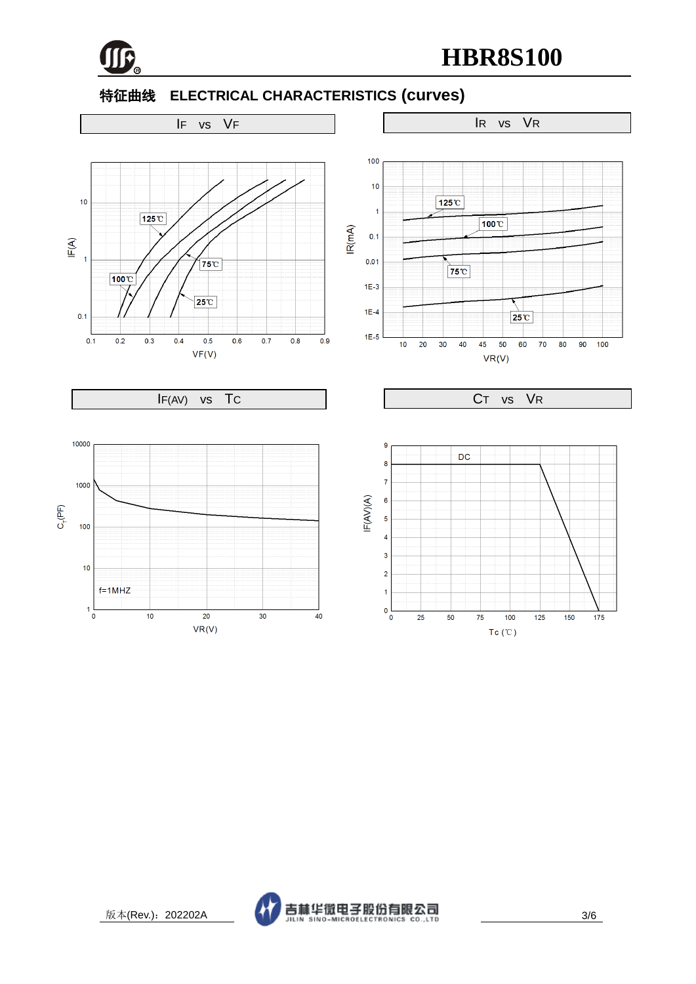

# 特征曲线 **ELECTRICAL CHARACTERISTICS (curves)**

# IF vs VF IR vs VR





٦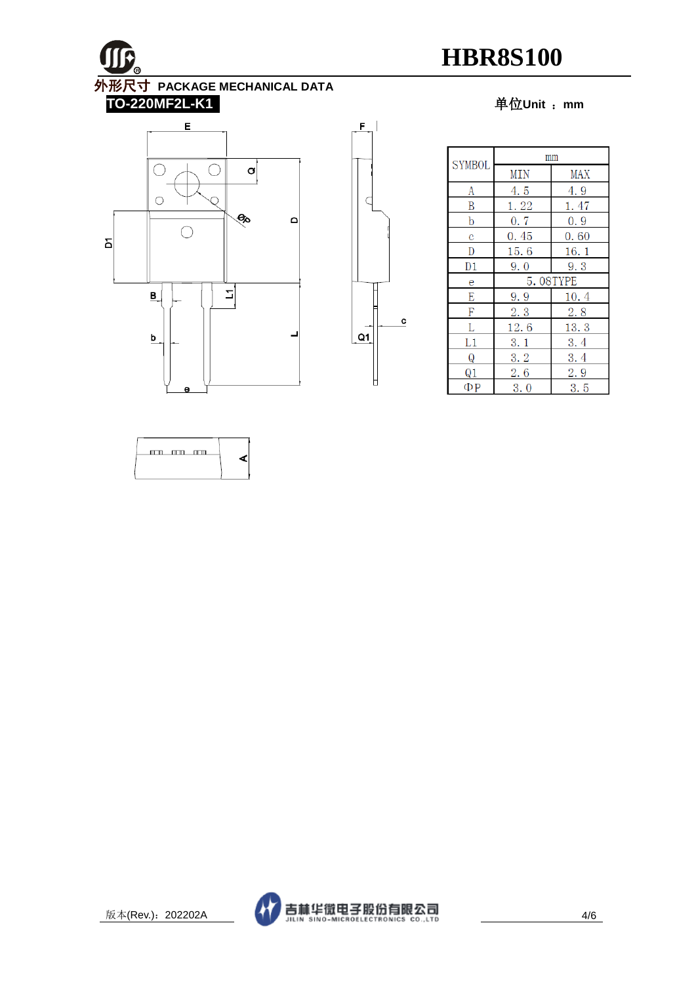

#### **TO-220MF2L-K1** 单位**Unit** :**mm**





| <b>SYMBOL</b> | mm       |            |  |
|---------------|----------|------------|--|
|               | MIN      | MAX        |  |
| A             | 4.5      | 4.9        |  |
| B             | 1.22     | 1.47       |  |
| b             | 0.7      | 0.9        |  |
| C             | 0.45     | 0.60       |  |
| D             | 15.6     | 16.1       |  |
| D1            | 9.0      | 9.3        |  |
| e             | 5.08TYPE |            |  |
| E             | 9.9      | 10.4       |  |
| F             | 2, 3     | <b>2.8</b> |  |
| L             | 12.6     | 13.3       |  |
| L1            | 3.1      | 3.4        |  |
| Q             | 3.2      | 3.4        |  |
| Q1            | 2.6      | 2.9        |  |
| ФР            | 3.0      | 3.5        |  |





٦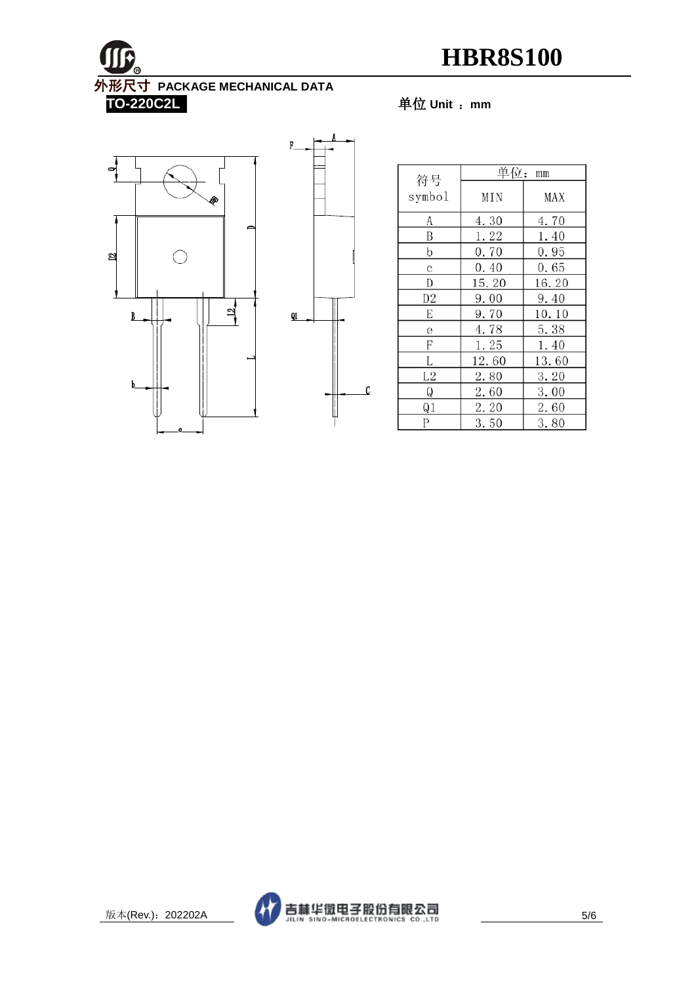M **R** 外形尺寸 **PACKAGE MECHANICAL DATA TO-220C2L** 单位 **Unit** :**mm**

# $\bullet$ D2  $\begin{array}{c} 12 \\ -1 \end{array}$  $\overline{B}$ b



| 符号             | 单位: mm |       |  |
|----------------|--------|-------|--|
|                |        |       |  |
| symbol         | MIN    | MAX   |  |
| A              | 4.30   | 4.70  |  |
| B              | 1.22   | 1.40  |  |
| b              | 0.70   | 0.95  |  |
| C              | 0.40   | 0.65  |  |
| D              | 15.20  | 16.20 |  |
| D2             | 9.00   | 9.40  |  |
| E              | 9.70   | 10.10 |  |
| е              | 4.78   | 5.38  |  |
| F              | 1.25   | 1.40  |  |
| L              | 12.60  | 13.60 |  |
| L2             | 2.80   | 3.20  |  |
| Q              | 2.60   | 3.00  |  |
| Q <sub>1</sub> | 2.20   | 2.60  |  |
| Р              | 3.50   | 3.80  |  |



٦